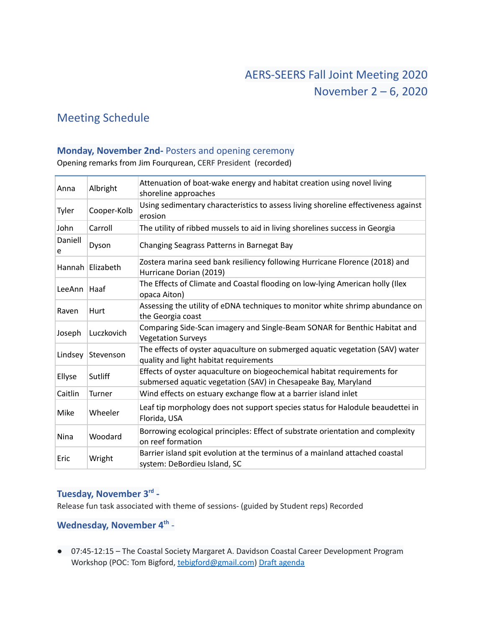# Meeting Schedule

#### **Monday, November 2nd-** Posters and opening ceremony

Opening remarks from Jim Fourqurean, CERF President (recorded)

| Anna         | Albright         | Attenuation of boat-wake energy and habitat creation using novel living<br>shoreline approaches                                            |
|--------------|------------------|--------------------------------------------------------------------------------------------------------------------------------------------|
| Tyler        | Cooper-Kolb      | Using sedimentary characteristics to assess living shoreline effectiveness against<br>erosion                                              |
| John         | Carroll          | The utility of ribbed mussels to aid in living shorelines success in Georgia                                                               |
| Daniell<br>e | Dyson            | Changing Seagrass Patterns in Barnegat Bay                                                                                                 |
|              | Hannah Elizabeth | Zostera marina seed bank resiliency following Hurricane Florence (2018) and<br>Hurricane Dorian (2019)                                     |
| LeeAnn       | Haaf             | The Effects of Climate and Coastal flooding on low-lying American holly (Ilex<br>opaca Aiton)                                              |
| Raven        | Hurt             | Assessing the utility of eDNA techniques to monitor white shrimp abundance on<br>the Georgia coast                                         |
| Joseph       | Luczkovich       | Comparing Side-Scan imagery and Single-Beam SONAR for Benthic Habitat and<br><b>Vegetation Surveys</b>                                     |
| Lindsey      | Stevenson        | The effects of oyster aquaculture on submerged aquatic vegetation (SAV) water<br>quality and light habitat requirements                    |
| Ellyse       | Sutliff          | Effects of oyster aquaculture on biogeochemical habitat requirements for<br>submersed aquatic vegetation (SAV) in Chesapeake Bay, Maryland |
| Caitlin      | Turner           | Wind effects on estuary exchange flow at a barrier island inlet                                                                            |
| Mike         | Wheeler          | Leaf tip morphology does not support species status for Halodule beaudettei in<br>Florida, USA                                             |
| Nina         | Woodard          | Borrowing ecological principles: Effect of substrate orientation and complexity<br>on reef formation                                       |
| Eric         | Wright           | Barrier island spit evolution at the terminus of a mainland attached coastal<br>system: DeBordieu Island, SC                               |

## **Tuesday, November 3 rd -**

Release fun task associated with theme of sessions- (guided by Student reps) Recorded

### **Wednesday, November 4 th** -

● 07:45-12:15 – The Coastal Society Margaret A. Davidson Coastal Career Development Program Workshop (POC: Tom Bigford, [tebigford@gmail.com](mailto:tebigford@gmail.com)) Draft [agenda](https://thecoastalsociety.org/margaret-a-davidson-coastal-career-development-program-virtual-workshop/)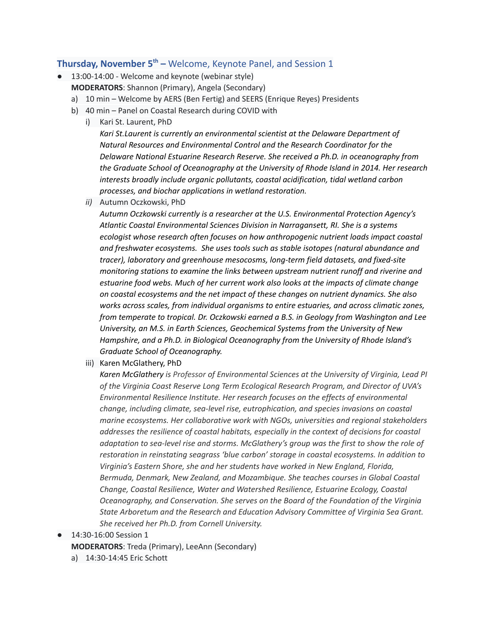### **Thursday, November 5<sup>th</sup> –** Welcome, Keynote Panel, and Session 1

- 13:00-14:00 Welcome and keynote (webinar style)
	- **MODERATORS**: Shannon (Primary), Angela (Secondary)
	- a) 10 min Welcome by AERS (Ben Fertig) and SEERS (Enrique Reyes) Presidents
	- b) 40 min Panel on Coastal Research during COVID with
		- i) Kari St. Laurent, PhD

*Kari St.Laurent is currently an environmental scientist at the Delaware Department of Natural Resources and Environmental Control and the Research Coordinator for the Delaware National Estuarine Research Reserve. She received a Ph.D. in oceanography from the Graduate School of Oceanography at the University of Rhode Island in 2014. Her research interests broadly include organic pollutants, coastal acidification, tidal wetland carbon processes, and biochar applications in wetland restoration.*

*ii)* Autumn Oczkowski, PhD

*Autumn Oczkowski currently is a researcher at the U.S. Environmental Protection Agency's Atlantic Coastal Environmental Sciences Division in Narragansett, RI. She is a systems ecologist whose research often focuses on how anthropogenic nutrient loads impact coastal and freshwater ecosystems. She uses tools such as stable isotopes (natural abundance and tracer), laboratory and greenhouse mesocosms, long-term field datasets, and fixed-site monitoring stations to examine the links between upstream nutrient runoff and riverine and estuarine food webs. Much of her current work also looks at the impacts of climate change on coastal ecosystems and the net impact of these changes on nutrient dynamics. She also works across scales, from individual organisms to entire estuaries, and across climatic zones, from temperate to tropical. Dr. Oczkowski earned a B.S. in Geology from Washington and Lee University, an M.S. in Earth Sciences, Geochemical Systems from the University of New Hampshire, and a Ph.D. in Biological Oceanography from the University of Rhode Island's Graduate School of Oceanography.*

iii) Karen McGlathery, PhD

*Karen McGlathery is Professor of Environmental Sciences at the University of Virginia, Lead PI of the Virginia Coast Reserve Long Term Ecological Research Program, and Director of UVA's Environmental Resilience Institute. Her research focuses on the effects of environmental change, including climate, sea-level rise, eutrophication, and species invasions on coastal marine ecosystems. Her collaborative work with NGOs, universities and regional stakeholders addresses the resilience of coastal habitats, especially in the context of decisions for coastal adaptation to sea-level rise and storms. McGlathery's group was the first to show the role of restoration in reinstating seagrass 'blue carbon' storage in coastal ecosystems. In addition to Virginia's Eastern Shore, she and her students have worked in New England, Florida, Bermuda, Denmark, New Zealand, and Mozambique. She teaches courses in Global Coastal Change, Coastal Resilience, Water and Watershed Resilience, Estuarine Ecology, Coastal Oceanography, and Conservation. She serves on the Board of the Foundation of the Virginia State Arboretum and the Research and Education Advisory Committee of Virginia Sea Grant. She received her Ph.D. from Cornell University.*

● 14:30-16:00 Session 1

**MODERATORS**: Treda (Primary), LeeAnn (Secondary)

a) 14:30-14:45 Eric Schott